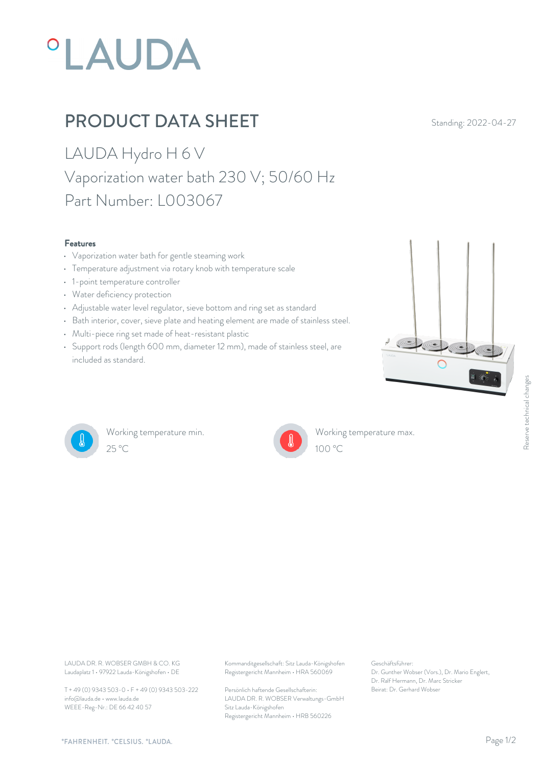# **°LAUDA**

### PRODUCT DATA SHEET Standing: 2022-04-27

LAUDA Hydro H 6 V Vaporization water bath 230 V; 50/60 Hz Part Number: L003067

#### Features

- Vaporization water bath for gentle steaming work
- Temperature adjustment via rotary knob with temperature scale
- 1-point temperature controller
- Water deficiency protection
- Adjustable water level regulator, sieve bottom and ring set as standard
- Bath interior, cover, sieve plate and heating element are made of stainless steel.
- Multi-piece ring set made of heat-resistant plastic
- Support rods (length 600 mm, diameter 12 mm), made of stainless steel, are **All the state of the state of the state** included as standard.





Working temperature min.



Working temperature max.

Laudaplatz 1 • 97922 Lauda-Königshofen • DE

T + 49 (0) 9343 503-0 • F + 49 (0) 9343 503-222 info@lauda.de • www.lauda.de WEEE-Reg-Nr.: DE 66 42 40 57

LAUDA DR. R. WOBSER GMBH & CO. KG Kommanditgesellschaft: Sitz Lauda-Königshofen Geschäftsführer: Registergericht Mannheim • HRA 560069

> Persönlich haftende Gesellschafterin: Beirat: Dr. Gerhard Wobse LAUDA DR. R. WOBSER Verwaltungs-GmbH Sitz Lauda-Königshofen Registergericht Mannheim • HRB 560226

Geschäftsführer: Dr. Gunther Wobser (Vors.), Dr. Mario Englert, Dr. Ralf Hermann, Dr. Marc Stricker